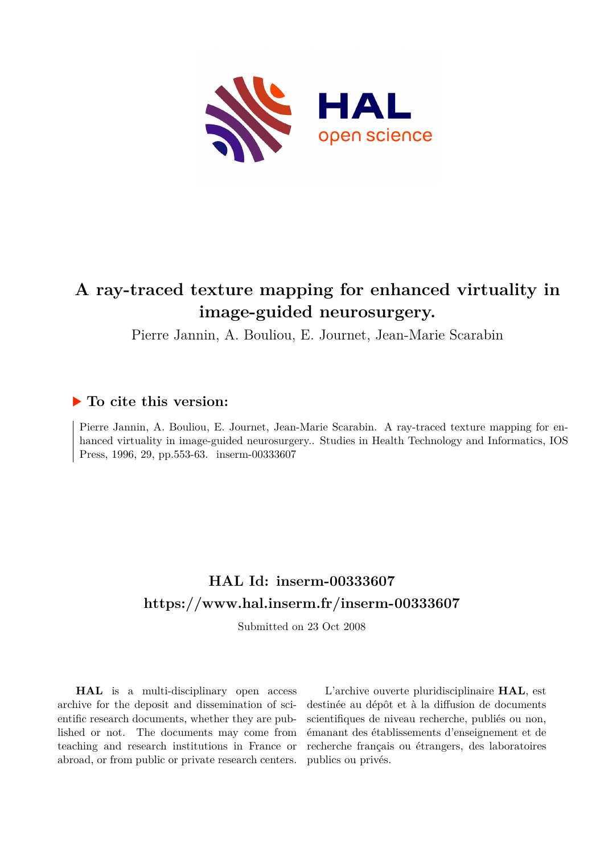

# **A ray-traced texture mapping for enhanced virtuality in image-guided neurosurgery.**

Pierre Jannin, A. Bouliou, E. Journet, Jean-Marie Scarabin

# **To cite this version:**

Pierre Jannin, A. Bouliou, E. Journet, Jean-Marie Scarabin. A ray-traced texture mapping for enhanced virtuality in image-guided neurosurgery.. Studies in Health Technology and Informatics, IOS Press, 1996, 29, pp.553-63. inserm-00333607

# **HAL Id: inserm-00333607 <https://www.hal.inserm.fr/inserm-00333607>**

Submitted on 23 Oct 2008

**HAL** is a multi-disciplinary open access archive for the deposit and dissemination of scientific research documents, whether they are published or not. The documents may come from teaching and research institutions in France or abroad, or from public or private research centers.

L'archive ouverte pluridisciplinaire **HAL**, est destinée au dépôt et à la diffusion de documents scientifiques de niveau recherche, publiés ou non, émanant des établissements d'enseignement et de recherche français ou étrangers, des laboratoires publics ou privés.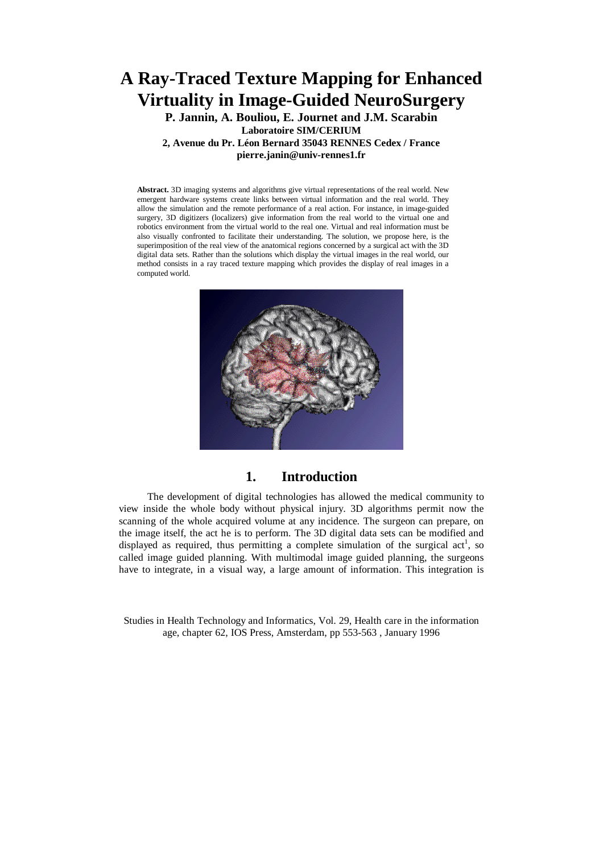# **A Ray-Traced Texture Mapping for Enhanced Virtuality in Image-Guided NeuroSurgery**

**P. Jannin, A. Bouliou, E. Journet and J.M. Scarabin Laboratoire SIM/CERIUM 2, Avenue du Pr. Léon Bernard 35043 RENNES Cedex / France pierre.janin@univ-rennes1.fr** 

**Abstract.** 3D imaging systems and algorithms give virtual representations of the real world. New emergent hardware systems create links between virtual information and the real world. They allow the simulation and the remote performance of a real action. For instance, in image-guided surgery, 3D digitizers (localizers) give information from the real world to the virtual one and robotics environment from the virtual world to the real one. Virtual and real information must be also visually confronted to facilitate their understanding. The solution, we propose here, is the superimposition of the real view of the anatomical regions concerned by a surgical act with the 3D digital data sets. Rather than the solutions which display the virtual images in the real world, our method consists in a ray traced texture mapping which provides the display of real images in a computed world.



## **1. Introduction**

The development of digital technologies has allowed the medical community to view inside the whole body without physical injury. 3D algorithms permit now the scanning of the whole acquired volume at any incidence. The surgeon can prepare, on the image itself, the act he is to perform. The 3D digital data sets can be modified and displayed as required, thus permitting a complete simulation of the surgical act<sup>1</sup>, so called image guided planning. With multimodal image guided planning, the surgeons have to integrate, in a visual way, a large amount of information. This integration is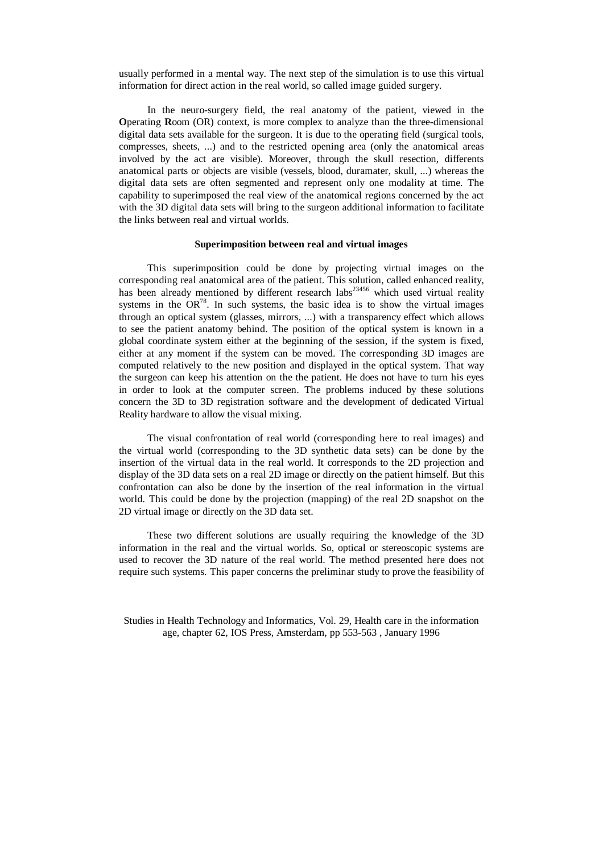usually performed in a mental way. The next step of the simulation is to use this virtual information for direct action in the real world, so called image guided surgery.

In the neuro-surgery field, the real anatomy of the patient, viewed in the **O**perating **R**oom (OR) context, is more complex to analyze than the three-dimensional digital data sets available for the surgeon. It is due to the operating field (surgical tools, compresses, sheets, ...) and to the restricted opening area (only the anatomical areas involved by the act are visible). Moreover, through the skull resection, differents anatomical parts or objects are visible (vessels, blood, duramater, skull, ...) whereas the digital data sets are often segmented and represent only one modality at time. The capability to superimposed the real view of the anatomical regions concerned by the act with the 3D digital data sets will bring to the surgeon additional information to facilitate the links between real and virtual worlds.

#### **Superimposition between real and virtual images**

This superimposition could be done by projecting virtual images on the corresponding real anatomical area of the patient. This solution, called enhanced reality, has been already mentioned by different research labs<sup>23456</sup> which used virtual reality systems in the  $OR^{78}$ . In such systems, the basic idea is to show the virtual images through an optical system (glasses, mirrors, ...) with a transparency effect which allows to see the patient anatomy behind. The position of the optical system is known in a global coordinate system either at the beginning of the session, if the system is fixed, either at any moment if the system can be moved. The corresponding 3D images are computed relatively to the new position and displayed in the optical system. That way the surgeon can keep his attention on the the patient. He does not have to turn his eyes in order to look at the computer screen. The problems induced by these solutions concern the 3D to 3D registration software and the development of dedicated Virtual Reality hardware to allow the visual mixing.

The visual confrontation of real world (corresponding here to real images) and the virtual world (corresponding to the 3D synthetic data sets) can be done by the insertion of the virtual data in the real world. It corresponds to the 2D projection and display of the 3D data sets on a real 2D image or directly on the patient himself. But this confrontation can also be done by the insertion of the real information in the virtual world. This could be done by the projection (mapping) of the real 2D snapshot on the 2D virtual image or directly on the 3D data set.

These two different solutions are usually requiring the knowledge of the 3D information in the real and the virtual worlds. So, optical or stereoscopic systems are used to recover the 3D nature of the real world. The method presented here does not require such systems. This paper concerns the preliminar study to prove the feasibility of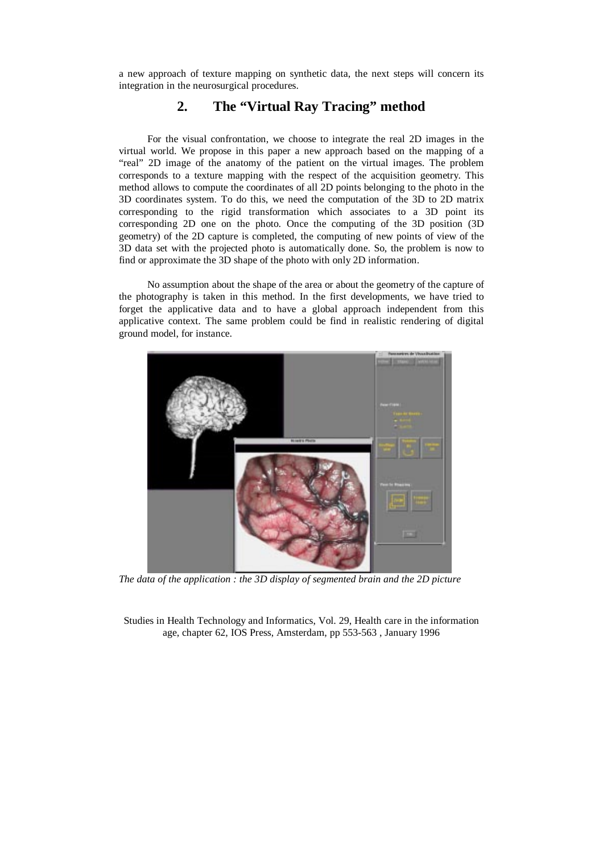a new approach of texture mapping on synthetic data, the next steps will concern its integration in the neurosurgical procedures.

# **2. The "Virtual Ray Tracing" method**

For the visual confrontation, we choose to integrate the real 2D images in the virtual world. We propose in this paper a new approach based on the mapping of a "real" 2D image of the anatomy of the patient on the virtual images. The problem corresponds to a texture mapping with the respect of the acquisition geometry. This method allows to compute the coordinates of all 2D points belonging to the photo in the 3D coordinates system. To do this, we need the computation of the 3D to 2D matrix corresponding to the rigid transformation which associates to a 3D point its corresponding 2D one on the photo. Once the computing of the 3D position (3D geometry) of the 2D capture is completed, the computing of new points of view of the 3D data set with the projected photo is automatically done. So, the problem is now to find or approximate the 3D shape of the photo with only 2D information.

No assumption about the shape of the area or about the geometry of the capture of the photography is taken in this method. In the first developments, we have tried to forget the applicative data and to have a global approach independent from this applicative context. The same problem could be find in realistic rendering of digital ground model, for instance.



*The data of the application : the 3D display of segmented brain and the 2D picture*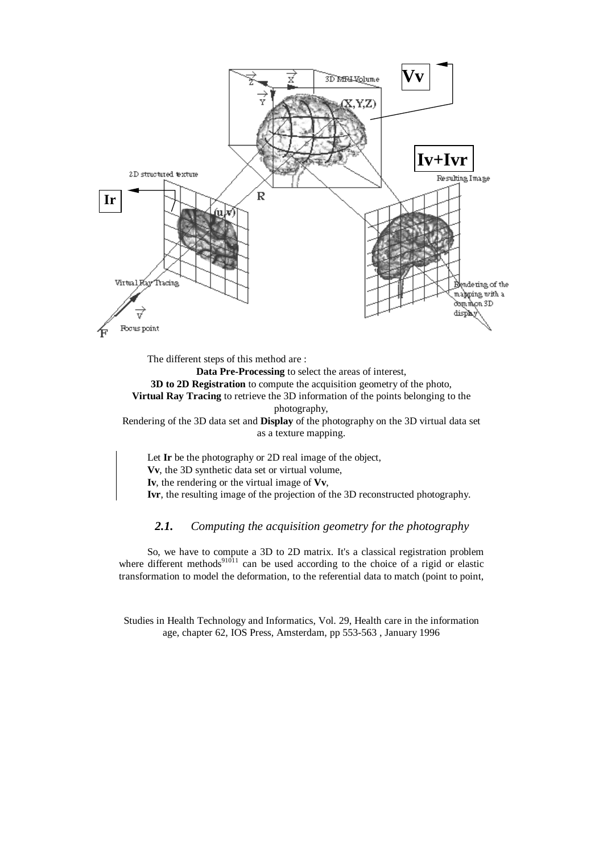

The different steps of this method are :

**Data Pre-Processing** to select the areas of interest, **3D to 2D Registration** to compute the acquisition geometry of the photo, **Virtual Ray Tracing** to retrieve the 3D information of the points belonging to the photography,

Rendering of the 3D data set and **Display** of the photography on the 3D virtual data set as a texture mapping.

Let **Ir** be the photography or 2D real image of the object, **Vv**, the 3D synthetic data set or virtual volume, **Iv**, the rendering or the virtual image of **Vv**, **Ivr**, the resulting image of the projection of the 3D reconstructed photography.

## *2.1. Computing the acquisition geometry for the photography*

So, we have to compute a 3D to 2D matrix. It's a classical registration problem where different methods<sup>91011</sup> can be used according to the choice of a rigid or elastic transformation to model the deformation, to the referential data to match (point to point,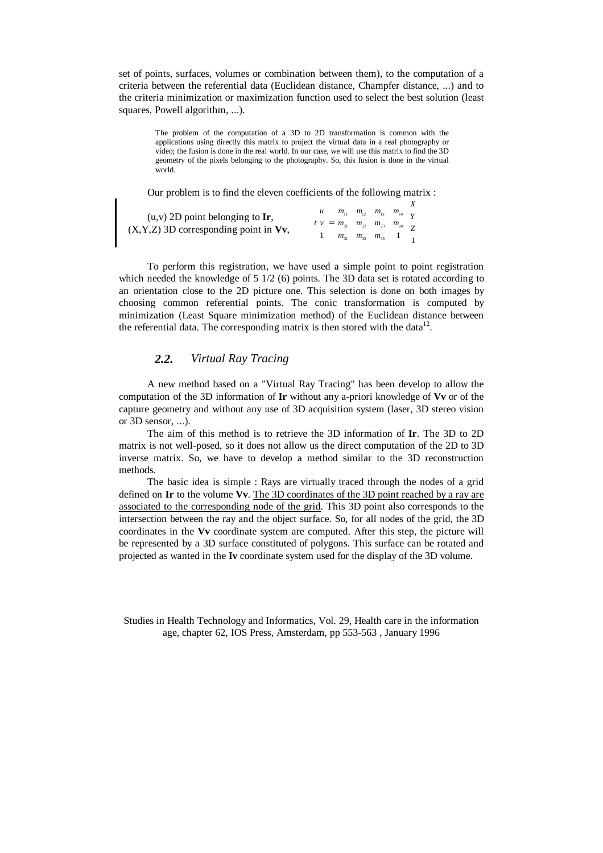set of points, surfaces, volumes or combination between them), to the computation of a criteria between the referential data (Euclidean distance, Champfer distance, ...) and to the criteria minimization or maximization function used to select the best solution (least squares, Powell algorithm, ...).

The problem of the computation of a 3D to 2D transformation is common with the applications using directly this matrix to project the virtual data in a real photography or video; the fusion is done in the real world. In our case, we will use this matrix to find the 3D geometry of the pixels belonging to the photography. So, this fusion is done in the virtual world.

Our problem is to find the eleven coefficients of the following matrix :

| $(u, v)$ 2D point belonging to Ir,<br>$(X, Y, Z)$ 3D corresponding point in Vv, |                                                                                                                                                                                                                                   |  |
|---------------------------------------------------------------------------------|-----------------------------------------------------------------------------------------------------------------------------------------------------------------------------------------------------------------------------------|--|
|                                                                                 |                                                                                                                                                                                                                                   |  |
|                                                                                 | $\begin{bmatrix} u \\ v \\ 1 \end{bmatrix} = \begin{bmatrix} m_{11} & m_{12} & m_{13} & m_{14} \\ m_{21} & m_{22} & m_{23} & m_{24} \\ m_{31} & m_{32} & m_{33} & 1 \end{bmatrix} \begin{bmatrix} X \\ Y \\ Z \\ 1 \end{bmatrix}$ |  |

To perform this registration, we have used a simple point to point registration which needed the knowledge of  $5 \frac{1}{2}$  (6) points. The 3D data set is rotated according to an orientation close to the 2D picture one. This selection is done on both images by choosing common referential points. The conic transformation is computed by minimization (Least Square minimization method) of the Euclidean distance between the referential data. The corresponding matrix is then stored with the data $12$ .

## *2.2. Virtual Ray Tracing*

A new method based on a "Virtual Ray Tracing" has been develop to allow the computation of the 3D information of **Ir** without any a-priori knowledge of **Vv** or of the capture geometry and without any use of 3D acquisition system (laser, 3D stereo vision or 3D sensor, ...).

The aim of this method is to retrieve the 3D information of **Ir**. The 3D to 2D matrix is not well-posed, so it does not allow us the direct computation of the 2D to 3D inverse matrix. So, we have to develop a method similar to the 3D reconstruction methods.

The basic idea is simple : Rays are virtually traced through the nodes of a grid defined on **Ir** to the volume **Vv**. The 3D coordinates of the 3D point reached by a ray are associated to the corresponding node of the grid. This 3D point also corresponds to the intersection between the ray and the object surface. So, for all nodes of the grid, the 3D coordinates in the **Vv** coordinate system are computed. After this step, the picture will be represented by a 3D surface constituted of polygons. This surface can be rotated and projected as wanted in the **Iv** coordinate system used for the display of the 3D volume.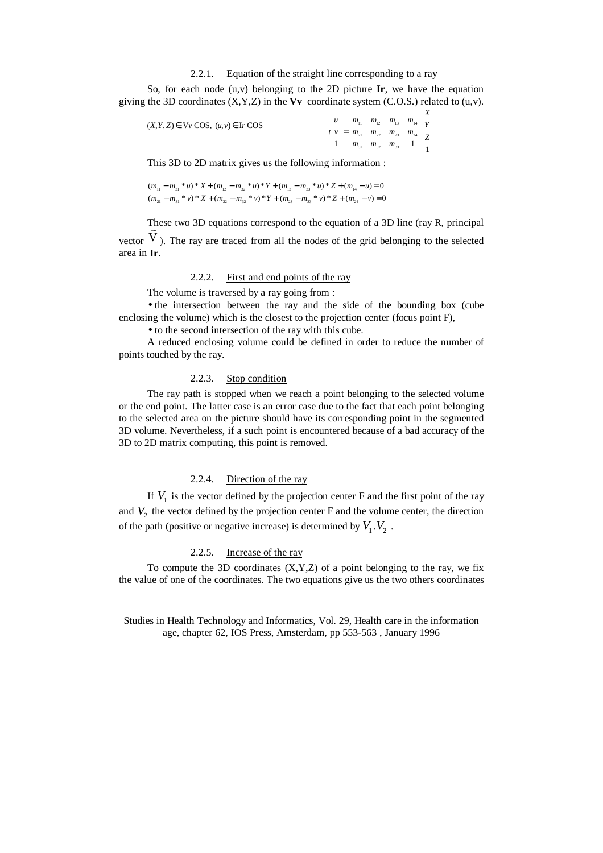#### 2.2.1. Equation of the straight line corresponding to a ray

So, for each node (u,v) belonging to the 2D picture **Ir**, we have the equation giving the 3D coordinates  $(X, Y, Z)$  in the **Vv** coordinate system  $(C.O.S.)$  related to  $(u, v)$ .

| $(X, Y, Z) \in \nabla v \text{ COS}, (u, v) \in \text{Ir COS}$ |                                                                                                                                                                                                                                        |  |  |
|----------------------------------------------------------------|----------------------------------------------------------------------------------------------------------------------------------------------------------------------------------------------------------------------------------------|--|--|
|                                                                |                                                                                                                                                                                                                                        |  |  |
|                                                                | $\begin{bmatrix} u \\ v \\ 1 \end{bmatrix} = \begin{bmatrix} m_{11} & m_{12} & m_{13} & m_{14} \\ m_{21} & m_{22} & m_{23} & m_{24} \\ m_{31} & m_{32} & m_{33} & 1 \end{bmatrix} \begin{bmatrix} X \\ Y \\ Z \\ Z \\ 1 \end{bmatrix}$ |  |  |

This 3D to 2D matrix gives us the following information :

 $(m_{11} - m_{31} * u) * X + (m_{12} - m_{32} * u) * Y + (m_{13} - m_{33} * u) * Z + (m_{14} - u) = 0$  $(m_{21} - m_{31} * v) * X + (m_{22} - m_{32} * v) * Y + (m_{23} - m_{33} * v) * Z + (m_{24} - v) = 0$ 

These two 3D equations correspond to the equation of a 3D line (ray R, principal vector These two 3D equations correspond to the equation of a 3D line (tay is, principal  $\vec{V}$ ). The ray are traced from all the nodes of the grid belonging to the selected area in **Ir**.

#### 2.2.2. First and end points of the ray

The volume is traversed by a ray going from :

• the intersection between the ray and the side of the bounding box (cube enclosing the volume) which is the closest to the projection center (focus point F),

• to the second intersection of the ray with this cube.

A reduced enclosing volume could be defined in order to reduce the number of points touched by the ray.

#### 2.2.3. Stop condition

The ray path is stopped when we reach a point belonging to the selected volume or the end point. The latter case is an error case due to the fact that each point belonging to the selected area on the picture should have its corresponding point in the segmented 3D volume. Nevertheless, if a such point is encountered because of a bad accuracy of the 3D to 2D matrix computing, this point is removed.

## 2.2.4. Direction of the ray

If  $V_1$  is the vector defined by the projection center F and the first point of the ray and  $V_2$  the vector defined by the projection center F and the volume center, the direction of the path (positive or negative increase) is determined by  $V_1$ .  $V_2$ .

## 2.2.5. Increase of the ray

To compute the 3D coordinates  $(X, Y, Z)$  of a point belonging to the ray, we fix the value of one of the coordinates. The two equations give us the two others coordinates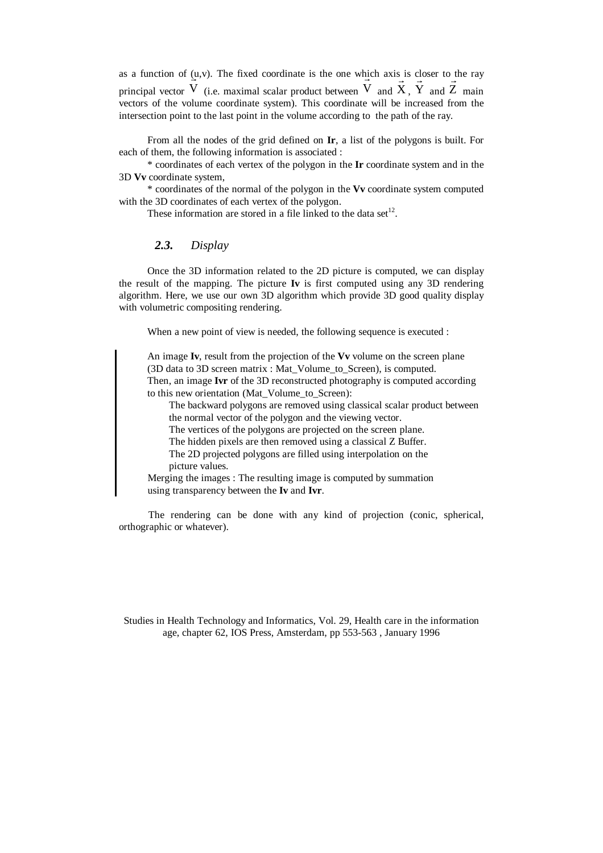as a function of  $(u, v)$ . The fixed coordinate is the one which axis is closer to the ray principal vector  $\frac{1}{\cdot}$ V (i.e. maximal scalar product between  $\frac{11}{11}$  $\vec{V}$  and  $\vec{X}$  $X$  ,  $\overrightarrow{a}$ Y and  $\Rightarrow$ Z main vectors of the volume coordinate system). This coordinate will be increased from the intersection point to the last point in the volume according to the path of the ray.

From all the nodes of the grid defined on **Ir**, a list of the polygons is built. For each of them, the following information is associated :

\* coordinates of each vertex of the polygon in the **Ir** coordinate system and in the 3D **Vv** coordinate system,

\* coordinates of the normal of the polygon in the **Vv** coordinate system computed with the 3D coordinates of each vertex of the polygon.

These information are stored in a file linked to the data set<sup>12</sup>.

## *2.3. Display*

Once the 3D information related to the 2D picture is computed, we can display the result of the mapping. The picture **Iv** is first computed using any 3D rendering algorithm. Here, we use our own 3D algorithm which provide 3D good quality display with volumetric compositing rendering.

When a new point of view is needed, the following sequence is executed :

An image **Iv**, result from the projection of the **Vv** volume on the screen plane (3D data to 3D screen matrix : Mat\_Volume\_to\_Screen), is computed. Then, an image **Ivr** of the 3D reconstructed photography is computed according

to this new orientation (Mat\_Volume\_to\_Screen):

The backward polygons are removed using classical scalar product between the normal vector of the polygon and the viewing vector.

The vertices of the polygons are projected on the screen plane.

The hidden pixels are then removed using a classical Z Buffer.

The 2D projected polygons are filled using interpolation on the picture values.

Merging the images : The resulting image is computed by summation using transparency between the **Iv** and **Ivr**.

The rendering can be done with any kind of projection (conic, spherical, orthographic or whatever).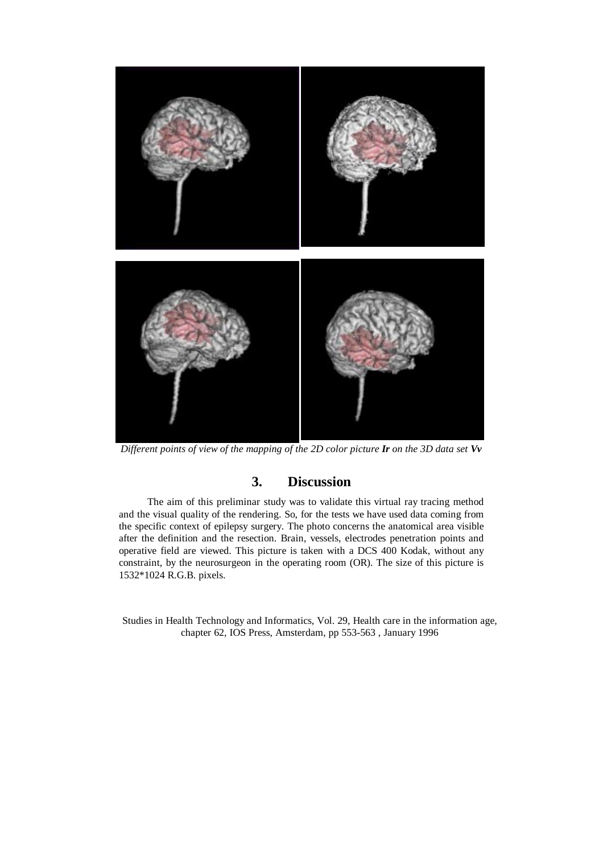

*Different points of view of the mapping of the 2D color picture Ir on the 3D data set Vv*

## **3. Discussion**

The aim of this preliminar study was to validate this virtual ray tracing method and the visual quality of the rendering. So, for the tests we have used data coming from the specific context of epilepsy surgery. The photo concerns the anatomical area visible after the definition and the resection. Brain, vessels, electrodes penetration points and operative field are viewed. This picture is taken with a DCS 400 Kodak, without any constraint, by the neurosurgeon in the operating room (OR). The size of this picture is 1532\*1024 R.G.B. pixels.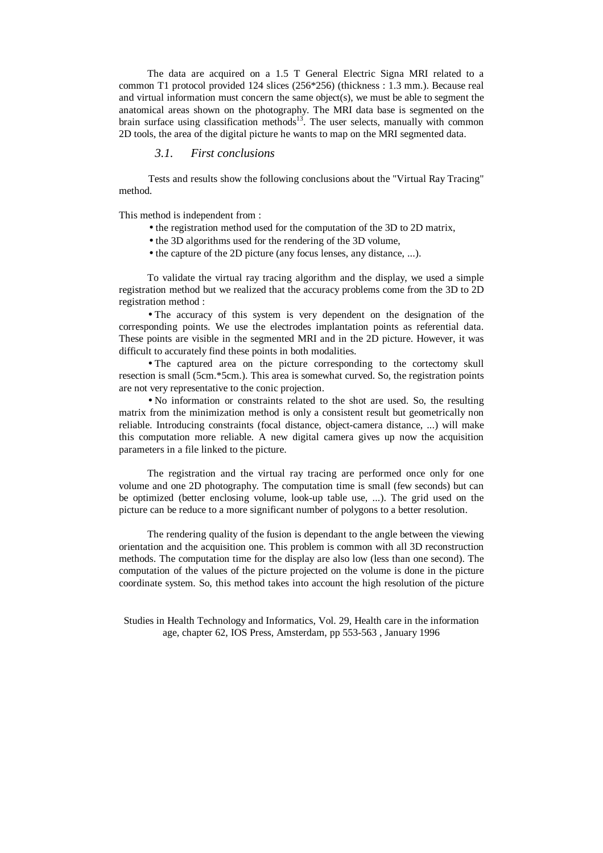The data are acquired on a 1.5 T General Electric Signa MRI related to a common T1 protocol provided 124 slices (256\*256) (thickness : 1.3 mm.). Because real and virtual information must concern the same object(s), we must be able to segment the anatomical areas shown on the photography. The MRI data base is segmented on the brain surface using classification methods<sup>13</sup>. The user selects, manually with common 2D tools, the area of the digital picture he wants to map on the MRI segmented data.

### *3.1. First conclusions*

Tests and results show the following conclusions about the "Virtual Ray Tracing" method.

This method is independent from :

- the registration method used for the computation of the 3D to 2D matrix,
- the 3D algorithms used for the rendering of the 3D volume,
- the capture of the 2D picture (any focus lenses, any distance, ...).

To validate the virtual ray tracing algorithm and the display, we used a simple registration method but we realized that the accuracy problems come from the 3D to 2D registration method :

• The accuracy of this system is very dependent on the designation of the corresponding points. We use the electrodes implantation points as referential data. These points are visible in the segmented MRI and in the 2D picture. However, it was difficult to accurately find these points in both modalities.

• The captured area on the picture corresponding to the cortectomy skull resection is small (5cm.\*5cm.). This area is somewhat curved. So, the registration points are not very representative to the conic projection.

• No information or constraints related to the shot are used. So, the resulting matrix from the minimization method is only a consistent result but geometrically non reliable. Introducing constraints (focal distance, object-camera distance, ...) will make this computation more reliable. A new digital camera gives up now the acquisition parameters in a file linked to the picture.

The registration and the virtual ray tracing are performed once only for one volume and one 2D photography. The computation time is small (few seconds) but can be optimized (better enclosing volume, look-up table use, ...). The grid used on the picture can be reduce to a more significant number of polygons to a better resolution.

The rendering quality of the fusion is dependant to the angle between the viewing orientation and the acquisition one. This problem is common with all 3D reconstruction methods. The computation time for the display are also low (less than one second). The computation of the values of the picture projected on the volume is done in the picture coordinate system. So, this method takes into account the high resolution of the picture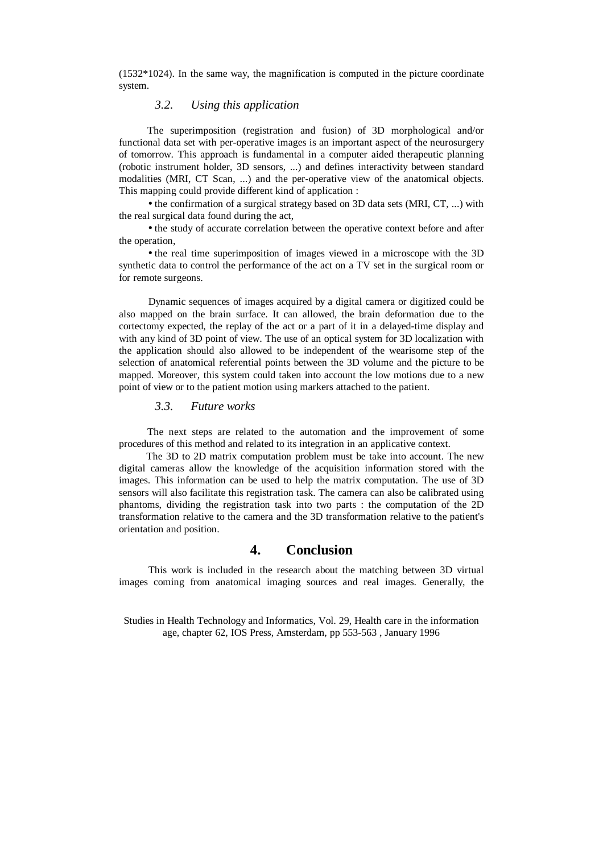$(1532*1024)$ . In the same way, the magnification is computed in the picture coordinate system.

## *3.2. Using this application*

The superimposition (registration and fusion) of 3D morphological and/or functional data set with per-operative images is an important aspect of the neurosurgery of tomorrow. This approach is fundamental in a computer aided therapeutic planning (robotic instrument holder, 3D sensors, ...) and defines interactivity between standard modalities (MRI, CT Scan, ...) and the per-operative view of the anatomical objects. This mapping could provide different kind of application :

• the confirmation of a surgical strategy based on 3D data sets (MRI, CT, ...) with the real surgical data found during the act,

• the study of accurate correlation between the operative context before and after the operation,

• the real time superimposition of images viewed in a microscope with the 3D synthetic data to control the performance of the act on a TV set in the surgical room or for remote surgeons.

Dynamic sequences of images acquired by a digital camera or digitized could be also mapped on the brain surface. It can allowed, the brain deformation due to the cortectomy expected, the replay of the act or a part of it in a delayed-time display and with any kind of 3D point of view. The use of an optical system for 3D localization with the application should also allowed to be independent of the wearisome step of the selection of anatomical referential points between the 3D volume and the picture to be mapped. Moreover, this system could taken into account the low motions due to a new point of view or to the patient motion using markers attached to the patient.

## *3.3. Future works*

The next steps are related to the automation and the improvement of some procedures of this method and related to its integration in an applicative context.

The 3D to 2D matrix computation problem must be take into account. The new digital cameras allow the knowledge of the acquisition information stored with the images. This information can be used to help the matrix computation. The use of 3D sensors will also facilitate this registration task. The camera can also be calibrated using phantoms, dividing the registration task into two parts : the computation of the 2D transformation relative to the camera and the 3D transformation relative to the patient's orientation and position.

## **4. Conclusion**

This work is included in the research about the matching between 3D virtual images coming from anatomical imaging sources and real images. Generally, the